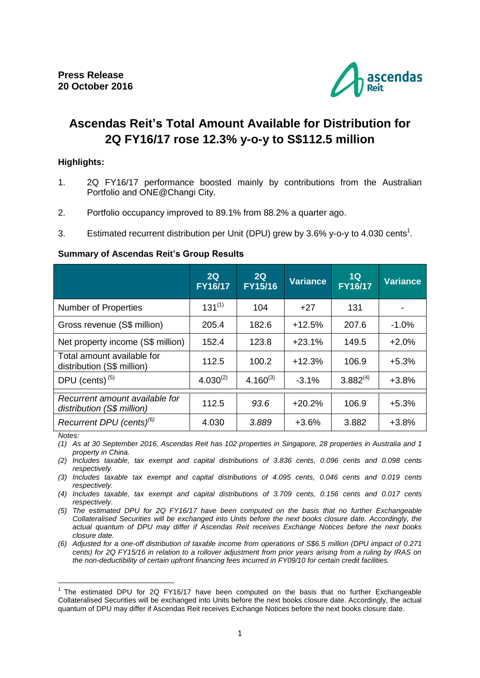

# **Ascendas Reit's Total Amount Available for Distribution for 2Q FY16/17 rose 12.3% y-o-y to S\$112.5 million**

# **Highlights:**

- 1. 2Q FY16/17 performance boosted mainly by contributions from the Australian Portfolio and ONE@Changi City.
- 2. Portfolio occupancy improved to 89.1% from 88.2% a quarter ago.
- 3. Estimated recurrent distribution per Unit (DPU) grew by 3.6% y-o-y to 4.030 cents<sup>1</sup>.

#### **Summary of Ascendas Reit's Group Results**

|                                                              | 2Q<br><b>FY16/17</b> | 2Q<br><b>FY15/16</b> | <b>Variance</b> | 1Q<br><b>FY16/17</b> | <b>Variance</b> |
|--------------------------------------------------------------|----------------------|----------------------|-----------------|----------------------|-----------------|
| <b>Number of Properties</b>                                  | $131^{(1)}$          | 104                  | $+27$           | 131                  |                 |
| Gross revenue (S\$ million)                                  | 205.4                | 182.6                | $+12.5%$        | 207.6                | $-1.0%$         |
| Net property income (S\$ million)                            | 152.4                | 123.8                | $+23.1%$        | 149.5                | $+2.0%$         |
| Total amount available for<br>distribution (S\$ million)     | 112.5                | 100.2                | $+12.3%$        | 106.9                | $+5.3%$         |
| DPU (cents) <sup>(5)</sup>                                   | $4.030^{(2)}$        | $4.160^{(3)}$        | $-3.1%$         | $3.882^{(4)}$        | $+3.8%$         |
| Recurrent amount available for<br>distribution (S\$ million) | 112.5                | 93.6                 | $+20.2%$        | 106.9                | $+5.3%$         |
| Recurrent DPU (cents) <sup>(6)</sup><br>$N = 1 - 1$          | 4.030                | 3.889                | $+3.6%$         | 3.882                | $+3.8%$         |

*Notes:*

1

*(1) As at 30 September 2016, Ascendas Reit has 102 properties in Singapore, 28 properties in Australia and 1 property in China.*

*(2) Includes taxable, tax exempt and capital distributions of 3.836 cents, 0.096 cents and 0.098 cents respectively.*

*(3) Includes taxable tax exempt and capital distributions of 4.095 cents, 0.046 cents and 0.019 cents respectively.*

*(4) Includes taxable, tax exempt and capital distributions of 3.709 cents, 0.156 cents and 0.017 cents respectively.*

*(5) The estimated DPU for 2Q FY16/17 have been computed on the basis that no further Exchangeable Collateralised Securities will be exchanged into Units before the next books closure date. Accordingly, the actual quantum of DPU may differ if Ascendas Reit receives Exchange Notices before the next books closure date.*

*(6) Adjusted for a one-off distribution of taxable income from operations of S\$6.5 million (DPU impact of 0.271 cents) for 2Q FY15/16 in relation to a rollover adjustment from prior years arising from a ruling by IRAS on the non-deductibility of certain upfront financing fees incurred in FY09/10 for certain credit facilities.*

<sup>&</sup>lt;sup>1</sup> The estimated DPU for 2Q FY16/17 have been computed on the basis that no further Exchangeable Collateralised Securities will be exchanged into Units before the next books closure date. Accordingly, the actual quantum of DPU may differ if Ascendas Reit receives Exchange Notices before the next books closure date.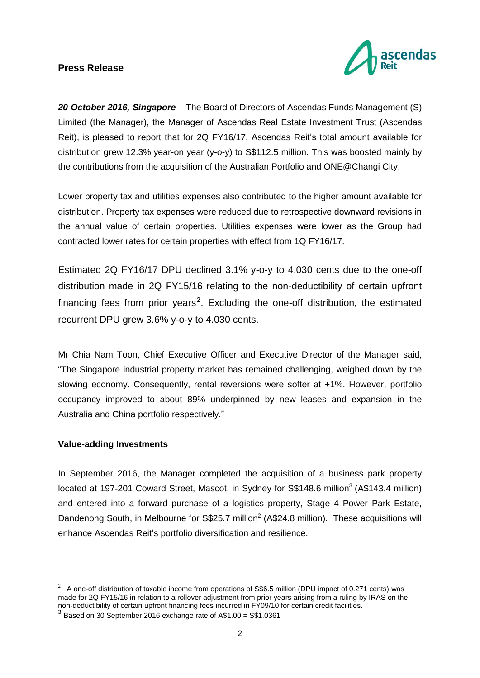

*20 October 2016, Singapore* – The Board of Directors of Ascendas Funds Management (S) Limited (the Manager), the Manager of Ascendas Real Estate Investment Trust (Ascendas Reit), is pleased to report that for 2Q FY16/17, Ascendas Reit's total amount available for distribution grew 12.3% year-on year (y-o-y) to S\$112.5 million. This was boosted mainly by the contributions from the acquisition of the Australian Portfolio and ONE@Changi City.

Lower property tax and utilities expenses also contributed to the higher amount available for distribution. Property tax expenses were reduced due to retrospective downward revisions in the annual value of certain properties. Utilities expenses were lower as the Group had contracted lower rates for certain properties with effect from 1Q FY16/17.

Estimated 2Q FY16/17 DPU declined 3.1% y-o-y to 4.030 cents due to the one-off distribution made in 2Q FY15/16 relating to the non-deductibility of certain upfront financing fees from prior years<sup>2</sup>. Excluding the one-off distribution, the estimated recurrent DPU grew 3.6% y-o-y to 4.030 cents.

Mr Chia Nam Toon, Chief Executive Officer and Executive Director of the Manager said, "The Singapore industrial property market has remained challenging, weighed down by the slowing economy. Consequently, rental reversions were softer at +1%. However, portfolio occupancy improved to about 89% underpinned by new leases and expansion in the Australia and China portfolio respectively."

## **Value-adding Investments**

<u>.</u>

In September 2016, the Manager completed the acquisition of a business park property located at 197-201 Coward Street, Mascot, in Sydney for S\$148.6 million<sup>3</sup> (A\$143.4 million) and entered into a forward purchase of a logistics property, Stage 4 Power Park Estate, Dandenong South, in Melbourne for S\$25.7 million<sup>2</sup> (A\$24.8 million). These acquisitions will enhance Ascendas Reit's portfolio diversification and resilience.

<sup>&</sup>lt;sup>2</sup> A one-off distribution of taxable income from operations of S\$6.5 million (DPU impact of 0.271 cents) was made for 2Q FY15/16 in relation to a rollover adjustment from prior years arising from a ruling by IRAS on the non-deductibility of certain upfront financing fees incurred in FY09/10 for certain credit facilities*.* 3 Based on 30 September 2016 exchange rate of A\$1.00 = S\$1.0361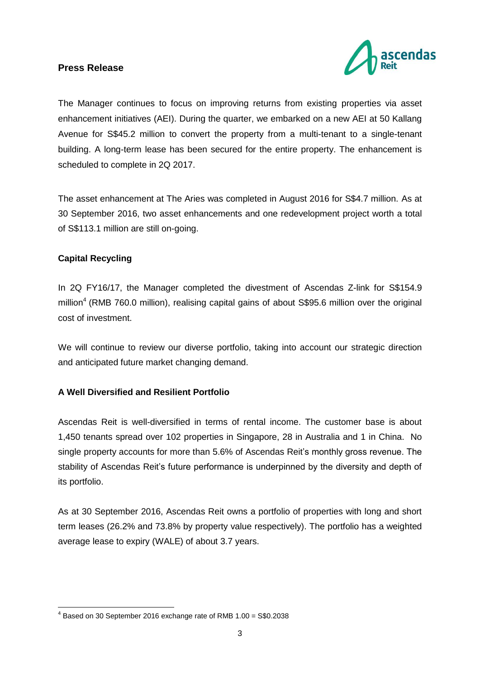

The Manager continues to focus on improving returns from existing properties via asset enhancement initiatives (AEI). During the quarter, we embarked on a new AEI at 50 Kallang Avenue for S\$45.2 million to convert the property from a multi-tenant to a single-tenant building. A long-term lease has been secured for the entire property. The enhancement is scheduled to complete in 2Q 2017.

The asset enhancement at The Aries was completed in August 2016 for S\$4.7 million. As at 30 September 2016, two asset enhancements and one redevelopment project worth a total of S\$113.1 million are still on-going.

# **Capital Recycling**

<u>.</u>

In 2Q FY16/17, the Manager completed the divestment of Ascendas Z-link for S\$154.9 million<sup>4</sup> (RMB 760.0 million), realising capital gains of about S\$95.6 million over the original cost of investment.

We will continue to review our diverse portfolio, taking into account our strategic direction and anticipated future market changing demand.

# **A Well Diversified and Resilient Portfolio**

Ascendas Reit is well-diversified in terms of rental income. The customer base is about 1,450 tenants spread over 102 properties in Singapore, 28 in Australia and 1 in China. No single property accounts for more than 5.6% of Ascendas Reit's monthly gross revenue. The stability of Ascendas Reit's future performance is underpinned by the diversity and depth of its portfolio.

As at 30 September 2016, Ascendas Reit owns a portfolio of properties with long and short term leases (26.2% and 73.8% by property value respectively). The portfolio has a weighted average lease to expiry (WALE) of about 3.7 years.

 $4$  Based on 30 September 2016 exchange rate of RMB 1.00 = S\$0.2038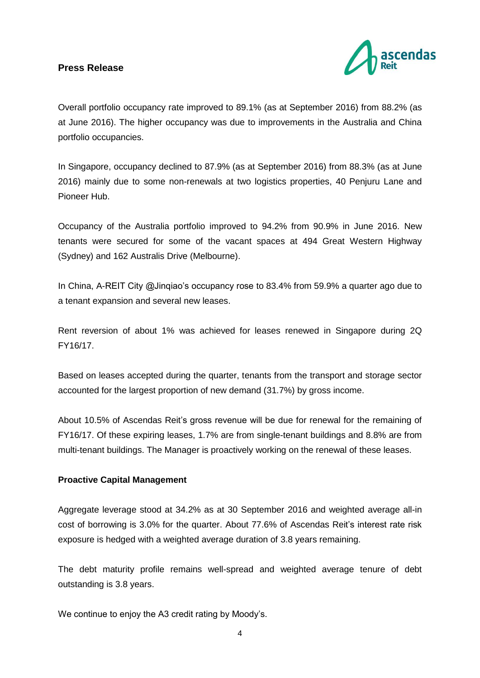

Overall portfolio occupancy rate improved to 89.1% (as at September 2016) from 88.2% (as at June 2016). The higher occupancy was due to improvements in the Australia and China portfolio occupancies.

In Singapore, occupancy declined to 87.9% (as at September 2016) from 88.3% (as at June 2016) mainly due to some non-renewals at two logistics properties, 40 Penjuru Lane and Pioneer Hub.

Occupancy of the Australia portfolio improved to 94.2% from 90.9% in June 2016. New tenants were secured for some of the vacant spaces at 494 Great Western Highway (Sydney) and 162 Australis Drive (Melbourne).

In China, A-REIT City @Jinqiao's occupancy rose to 83.4% from 59.9% a quarter ago due to a tenant expansion and several new leases.

Rent reversion of about 1% was achieved for leases renewed in Singapore during 2Q FY16/17.

Based on leases accepted during the quarter, tenants from the transport and storage sector accounted for the largest proportion of new demand (31.7%) by gross income.

About 10.5% of Ascendas Reit's gross revenue will be due for renewal for the remaining of FY16/17. Of these expiring leases, 1.7% are from single-tenant buildings and 8.8% are from multi-tenant buildings. The Manager is proactively working on the renewal of these leases.

## **Proactive Capital Management**

Aggregate leverage stood at 34.2% as at 30 September 2016 and weighted average all-in cost of borrowing is 3.0% for the quarter. About 77.6% of Ascendas Reit's interest rate risk exposure is hedged with a weighted average duration of 3.8 years remaining.

The debt maturity profile remains well-spread and weighted average tenure of debt outstanding is 3.8 years.

We continue to enjoy the A3 credit rating by Moody's.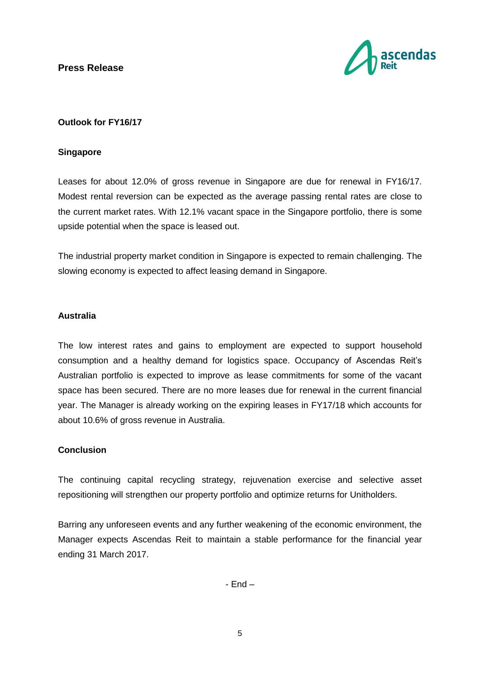

# **Outlook for FY16/17**

#### **Singapore**

Leases for about 12.0% of gross revenue in Singapore are due for renewal in FY16/17. Modest rental reversion can be expected as the average passing rental rates are close to the current market rates. With 12.1% vacant space in the Singapore portfolio, there is some upside potential when the space is leased out.

The industrial property market condition in Singapore is expected to remain challenging. The slowing economy is expected to affect leasing demand in Singapore.

## **Australia**

The low interest rates and gains to employment are expected to support household consumption and a healthy demand for logistics space. Occupancy of Ascendas Reit's Australian portfolio is expected to improve as lease commitments for some of the vacant space has been secured. There are no more leases due for renewal in the current financial year. The Manager is already working on the expiring leases in FY17/18 which accounts for about 10.6% of gross revenue in Australia.

## **Conclusion**

The continuing capital recycling strategy, rejuvenation exercise and selective asset repositioning will strengthen our property portfolio and optimize returns for Unitholders.

Barring any unforeseen events and any further weakening of the economic environment, the Manager expects Ascendas Reit to maintain a stable performance for the financial year ending 31 March 2017.

- End –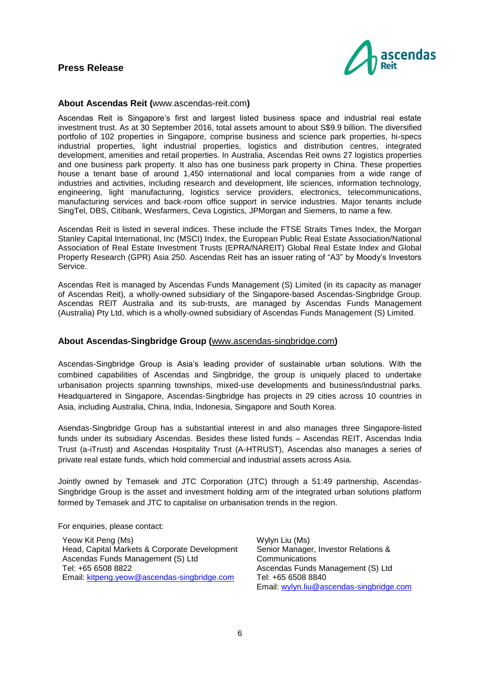

#### **About Ascendas Reit (**www.ascendas-reit.com**)**

Ascendas Reit is Singapore's first and largest listed business space and industrial real estate investment trust. As at 30 September 2016, total assets amount to about S\$9.9 billion. The diversified portfolio of 102 properties in Singapore, comprise business and science park properties, hi-specs industrial properties, light industrial properties, logistics and distribution centres, integrated development, amenities and retail properties. In Australia, Ascendas Reit owns 27 logistics properties and one business park property. It also has one business park property in China. These properties house a tenant base of around 1,450 international and local companies from a wide range of industries and activities, including research and development, life sciences, information technology, engineering, light manufacturing, logistics service providers, electronics, telecommunications, manufacturing services and back-room office support in service industries. Major tenants include SingTel, DBS, Citibank, Wesfarmers, Ceva Logistics, JPMorgan and Siemens, to name a few.

Ascendas Reit is listed in several indices. These include the FTSE Straits Times Index, the Morgan Stanley Capital International, Inc (MSCI) Index, the European Public Real Estate Association/National Association of Real Estate Investment Trusts (EPRA/NAREIT) Global Real Estate Index and Global Property Research (GPR) Asia 250. Ascendas Reit has an issuer rating of "A3" by Moody's Investors Service.

Ascendas Reit is managed by Ascendas Funds Management (S) Limited (in its capacity as manager of Ascendas Reit), a wholly-owned subsidiary of the Singapore-based Ascendas-Singbridge Group. Ascendas REIT Australia and its sub-trusts, are managed by Ascendas Funds Management (Australia) Pty Ltd, which is a wholly-owned subsidiary of Ascendas Funds Management (S) Limited.

#### **About Ascendas-Singbridge Group (**[www.ascendas-singbridge.com](http://www.ascendas-singbridge.com/)**)**

Ascendas-Singbridge Group is Asia's leading provider of sustainable urban solutions. With the combined capabilities of Ascendas and Singbridge, the group is uniquely placed to undertake urbanisation projects spanning townships, mixed-use developments and business/industrial parks. Headquartered in Singapore, Ascendas-Singbridge has projects in 29 cities across 10 countries in Asia, including Australia, China, India, Indonesia, Singapore and South Korea.

Asendas-Singbridge Group has a substantial interest in and also manages three Singapore-listed funds under its subsidiary Ascendas. Besides these listed funds – Ascendas REIT, Ascendas India Trust (a-iTrust) and Ascendas Hospitality Trust (A-HTRUST), Ascendas also manages a series of private real estate funds, which hold commercial and industrial assets across Asia.

Jointly owned by Temasek and JTC Corporation (JTC) through a 51:49 partnership, Ascendas-Singbridge Group is the asset and investment holding arm of the integrated urban solutions platform formed by Temasek and JTC to capitalise on urbanisation trends in the region.

For enquiries, please contact:

Yeow Kit Peng (Ms) Head, Capital Markets & Corporate Development Ascendas Funds Management (S) Ltd Tel: +65 6508 8822 Email: [kitpeng.yeow@ascendas-singbridge.com](mailto:kitpeng.yeow@ascendas-singbridge.com)

Wylyn Liu (Ms) Senior Manager, Investor Relations & **Communications** Ascendas Funds Management (S) Ltd Tel: +65 6508 8840 Email: [wylyn.liu@ascendas-singbridge.com](mailto:wylyn.liu@ascendas-singbridge.com)